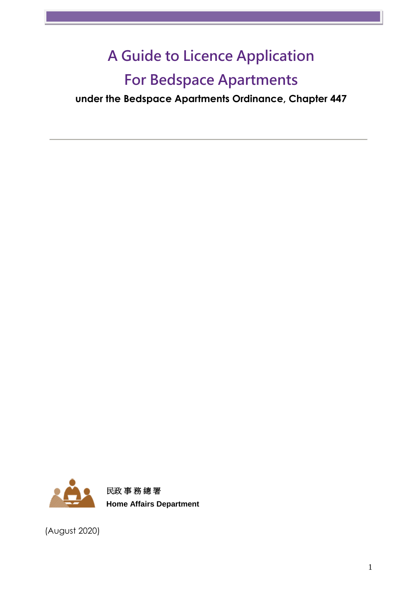# **A Guide to Licence Application**

# **For Bedspace Apartments**

**under the Bedspace Apartments Ordinance, Chapter 447**



(August 2020)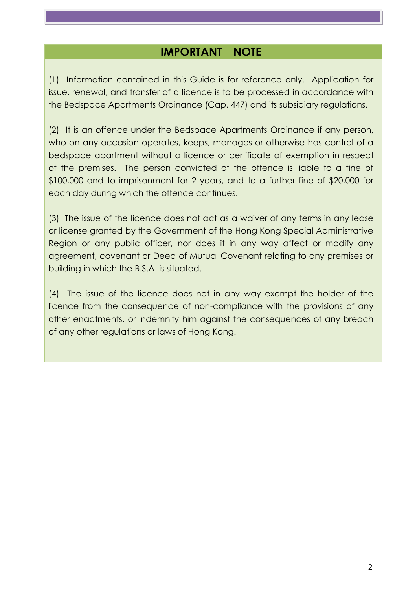### **IMPORTANT NOTE**

(1) Information contained in this Guide is for reference only. Application for issue, renewal, and transfer of a licence is to be processed in accordance with the Bedspace Apartments Ordinance (Cap. 447) and its subsidiary regulations.

(2) It is an offence under the Bedspace Apartments Ordinance if any person, who on any occasion operates, keeps, manages or otherwise has control of a bedspace apartment without a licence or certificate of exemption in respect of the premises. The person convicted of the offence is liable to a fine of \$100,000 and to imprisonment for 2 years, and to a further fine of \$20,000 for each day during which the offence continues.

(3) The issue of the licence does not act as a waiver of any terms in any lease or license granted by the Government of the Hong Kong Special Administrative Region or any public officer, nor does it in any way affect or modify any agreement, covenant or Deed of Mutual Covenant relating to any premises or building in which the B.S.A. is situated.

(4) The issue of the licence does not in any way exempt the holder of the licence from the consequence of non-compliance with the provisions of any other enactments, or indemnify him against the consequences of any breach of any other regulations or laws of Hong Kong.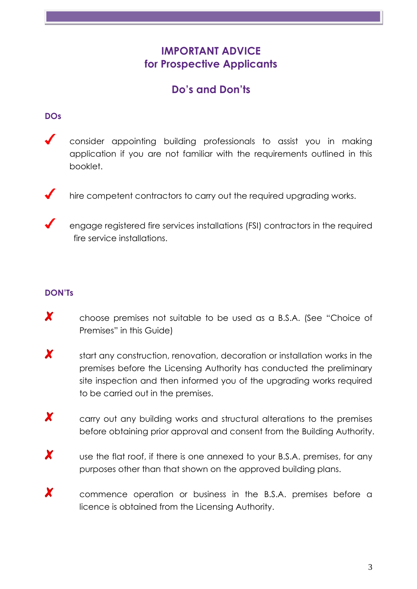### **IMPORTANT ADVICE for Prospective Applicants**

### **Do's and Don'ts**

#### **DOs**

 $\boldsymbol{J}$ 

consider appointing building professionals to assist you in making application if you are not familiar with the requirements outlined in this booklet.



hire competent contractors to carry out the required upgrading works.

engage registered fire services installations (FSI) contractors in the required fire service installations.

#### **DON'Ts**

- X choose premises not suitable to be used as a B.S.A. (See "Choice of Premises" in this Guide)
- $\boldsymbol{x}$ start any construction, renovation, decoration or installation works in the premises before the Licensing Authority has conducted the preliminary site inspection and then informed you of the upgrading works required to be carried out in the premises.
- X carry out any building works and structural alterations to the premises before obtaining prior approval and consent from the Building Authority.
- X use the flat roof, if there is one annexed to your B.S.A. premises, for any purposes other than that shown on the approved building plans.
- $\boldsymbol{x}$ commence operation or business in the B.S.A. premises before a licence is obtained from the Licensing Authority.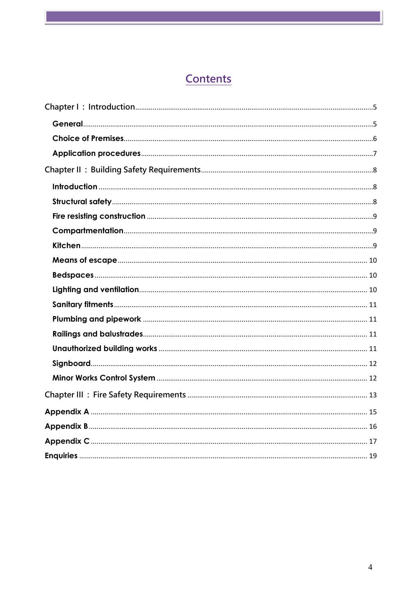## Contents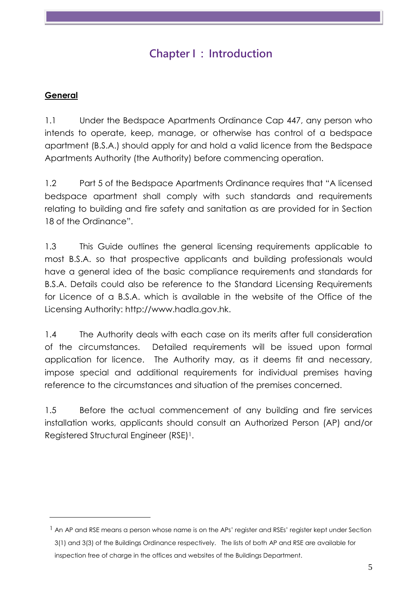## **Chapter I : Introduction**

#### <span id="page-4-1"></span><span id="page-4-0"></span>**General**

 $\overline{a}$ 

1.1 Under the Bedspace Apartments Ordinance Cap 447, any person who intends to operate, keep, manage, or otherwise has control of a bedspace apartment (B.S.A.) should apply for and hold a valid licence from the Bedspace Apartments Authority (the Authority) before commencing operation.

1.2 Part 5 of the Bedspace Apartments Ordinance requires that "A licensed bedspace apartment shall comply with such standards and requirements relating to building and fire safety and sanitation as are provided for in Section 18 of the Ordinance".

1.3 This Guide outlines the general licensing requirements applicable to most B.S.A. so that prospective applicants and building professionals would have a general idea of the basic compliance requirements and standards for B.S.A. Details could also be reference to the Standard Licensing Requirements for Licence of a B.S.A. which is available in the website of the Office of the Licensing Authority: http://www.hadla.gov.hk.

1.4 The Authority deals with each case on its merits after full consideration of the circumstances. Detailed requirements will be issued upon formal application for licence. The Authority may, as it deems fit and necessary, impose special and additional requirements for individual premises having reference to the circumstances and situation of the premises concerned.

1.5 Before the actual commencement of any building and fire services installation works, applicants should consult an Authorized Person (AP) and/or Registered Structural Engineer (RSE) 1.

<sup>&</sup>lt;sup>1</sup> An AP and RSE means a person whose name is on the APs' register and RSEs' register kept under Section 3(1) and 3(3) of the Buildings Ordinance respectively. The lists of both AP and RSE are available for inspection free of charge in the offices and websites of the Buildings Department.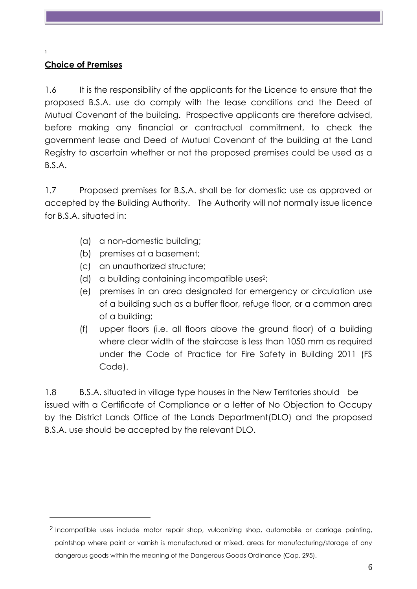#### <span id="page-5-0"></span>**Choice of Premises**

1

 $\overline{a}$ 

1.6 It is the responsibility of the applicants for the Licence to ensure that the proposed B.S.A. use do comply with the lease conditions and the Deed of Mutual Covenant of the building. Prospective applicants are therefore advised, before making any financial or contractual commitment, to check the government lease and Deed of Mutual Covenant of the building at the Land Registry to ascertain whether or not the proposed premises could be used as a B.S.A.

1.7 Proposed premises for B.S.A. shall be for domestic use as approved or accepted by the Building Authority. The Authority will not normally issue licence for B.S.A. situated in:

- (a) a non-domestic building;
- (b) premises at a basement;
- (c) an unauthorized structure;
- (d) a building containing incompatible uses2;
- (e) premises in an area designated for emergency or circulation use of a building such as a buffer floor, refuge floor, or a common area of a building;
- (f) upper floors (i.e. all floors above the ground floor) of a building where clear width of the staircase is less than 1050 mm as required under the Code of Practice for Fire Safety in Building 2011 (FS Code).

1.8 B.S.A. situated in village type houses in the New Territories should be issued with a Certificate of Compliance or a letter of No Objection to Occupy by the District Lands Office of the Lands Department(DLO) and the proposed B.S.A. use should be accepted by the relevant DLO.

<sup>2</sup> Incompatible uses include motor repair shop, vulcanizing shop, automobile or carriage painting, paintshop where paint or varnish is manufactured or mixed, areas for manufacturing/storage of any dangerous goods within the meaning of the Dangerous Goods Ordinance (Cap. 295).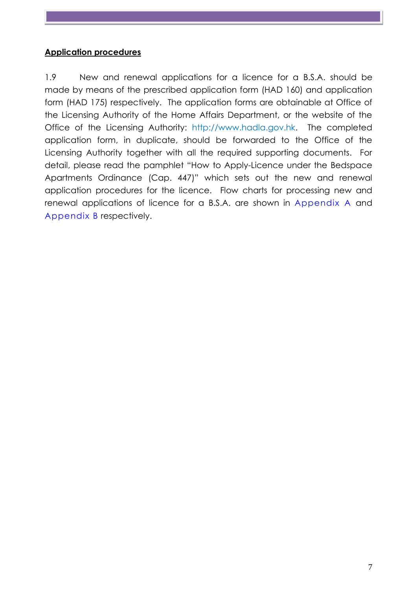#### <span id="page-6-0"></span>**Application procedures**

1.9 New and renewal applications for a licence for a B.S.A. should be made by means of the prescribed application form (HAD 160) and application form (HAD 175) respectively. The application forms are obtainable at Office of the Licensing Authority of the Home Affairs Department, or the website of the Office of the Licensing Authority: http://www.hadla.gov.hk. The completed application form, in duplicate, should be forwarded to the Office of the Licensing Authority together with all the required supporting documents. For detail, please read the pamphlet "How to Apply-Licence under the Bedspace Apartments Ordinance (Cap. 447)" which sets out the new and renewal application procedures for the licence. Flow charts for processing new and renewal applications of licence for a B.S.A. are shown in Appendix A and Appendix B respectively.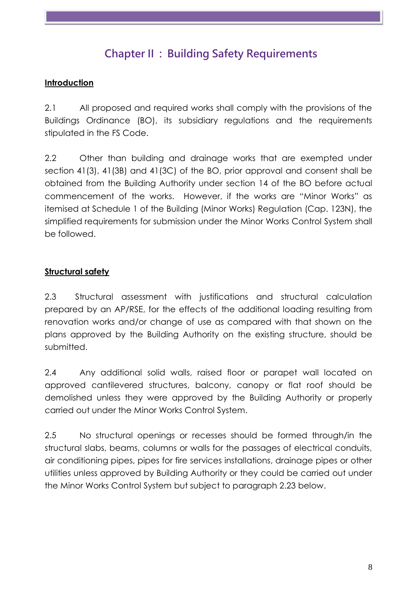### **Chapter II : Building Safety Requirements**

#### <span id="page-7-1"></span><span id="page-7-0"></span>**Introduction**

2.1 All proposed and required works shall comply with the provisions of the Buildings Ordinance (BO), its subsidiary regulations and the requirements stipulated in the FS Code.

2.2 Other than building and drainage works that are exempted under section 41(3), 41(3B) and 41(3C) of the BO, prior approval and consent shall be obtained from the Building Authority under section 14 of the BO before actual commencement of the works. However, if the works are "Minor Works" as itemised at Schedule 1 of the Building (Minor Works) Regulation (Cap. 123N), the simplified requirements for submission under the Minor Works Control System shall be followed.

#### <span id="page-7-2"></span>**Structural safety**

2.3 Structural assessment with justifications and structural calculation prepared by an AP/RSE, for the effects of the additional loading resulting from renovation works and/or change of use as compared with that shown on the plans approved by the Building Authority on the existing structure, should be submitted.

2.4 Any additional solid walls, raised floor or parapet wall located on approved cantilevered structures, balcony, canopy or flat roof should be demolished unless they were approved by the Building Authority or properly carried out under the Minor Works Control System.

2.5 No structural openings or recesses should be formed through/in the structural slabs, beams, columns or walls for the passages of electrical conduits, air conditioning pipes, pipes for fire services installations, drainage pipes or other utilities unless approved by Building Authority or they could be carried out under the Minor Works Control System but subject to paragraph 2.23 below.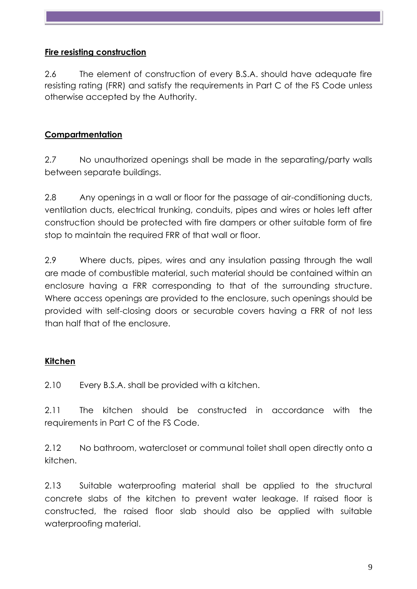#### <span id="page-8-0"></span>**Fire resisting construction**

2.6 The element of construction of every B.S.A. should have adequate fire resisting rating (FRR) and satisfy the requirements in Part C of the FS Code unless otherwise accepted by the Authority.

#### <span id="page-8-1"></span>**Compartmentation**

2.7 No unauthorized openings shall be made in the separating/party walls between separate buildings.

2.8 Any openings in a wall or floor for the passage of air-conditioning ducts, ventilation ducts, electrical trunking, conduits, pipes and wires or holes left after construction should be protected with fire dampers or other suitable form of fire stop to maintain the required FRR of that wall or floor.

2.9 Where ducts, pipes, wires and any insulation passing through the wall are made of combustible material, such material should be contained within an enclosure having a FRR corresponding to that of the surrounding structure. Where access openings are provided to the enclosure, such openings should be provided with self-closing doors or securable covers having a FRR of not less than half that of the enclosure.

#### <span id="page-8-2"></span>**Kitchen**

2.10 Every B.S.A. shall be provided with a kitchen.

2.11 The kitchen should be constructed in accordance with the requirements in Part C of the FS Code.

2.12 No bathroom, watercloset or communal toilet shall open directly onto a kitchen.

2.13 Suitable waterproofing material shall be applied to the structural concrete slabs of the kitchen to prevent water leakage. If raised floor is constructed, the raised floor slab should also be applied with suitable waterproofing material.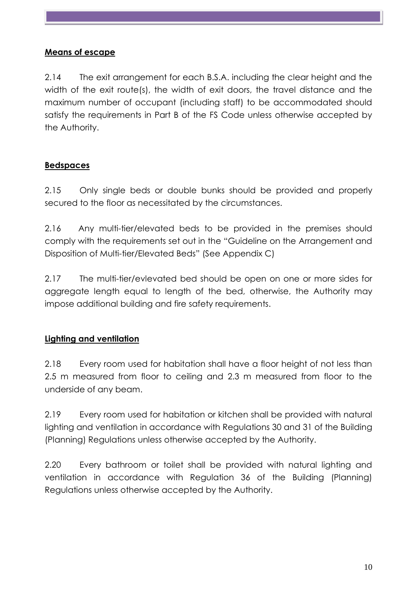#### <span id="page-9-0"></span>**Means of escape**

2.14 The exit arrangement for each B.S.A. including the clear height and the width of the exit route(s), the width of exit doors, the travel distance and the maximum number of occupant (including staff) to be accommodated should satisfy the requirements in Part B of the FS Code unless otherwise accepted by the Authority.

#### <span id="page-9-1"></span>**Bedspaces**

2.15 Only single beds or double bunks should be provided and properly secured to the floor as necessitated by the circumstances.

2.16 Any multi-tier/elevated beds to be provided in the premises should comply with the requirements set out in the "Guideline on the Arrangement and Disposition of Multi-tier/Elevated Beds" (See Appendix C)

2.17 The multi-tier/evlevated bed should be open on one or more sides for aggregate length equal to length of the bed, otherwise, the Authority may impose additional building and fire safety requirements.

#### <span id="page-9-2"></span>**Lighting and ventilation**

2.18 Every room used for habitation shall have a floor height of not less than 2.5 m measured from floor to ceiling and 2.3 m measured from floor to the underside of any beam.

2.19 Every room used for habitation or kitchen shall be provided with natural lighting and ventilation in accordance with Regulations 30 and 31 of the Building (Planning) Regulations unless otherwise accepted by the Authority.

2.20 Every bathroom or toilet shall be provided with natural lighting and ventilation in accordance with Regulation 36 of the Building (Planning) Regulations unless otherwise accepted by the Authority.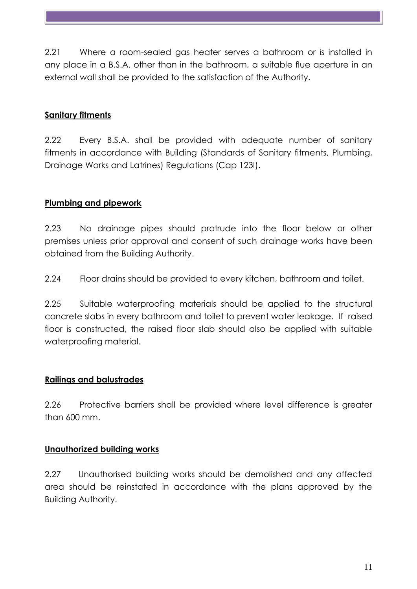2.21 Where a room-sealed gas heater serves a bathroom or is installed in any place in a B.S.A. other than in the bathroom, a suitable flue aperture in an external wall shall be provided to the satisfaction of the Authority.

#### <span id="page-10-0"></span>**Sanitary fitments**

2.22 Every B.S.A. shall be provided with adequate number of sanitary fitments in accordance with Building (Standards of Sanitary fitments, Plumbing, Drainage Works and Latrines) Regulations (Cap 123I).

#### <span id="page-10-1"></span>**Plumbing and pipework**

2.23 No drainage pipes should protrude into the floor below or other premises unless prior approval and consent of such drainage works have been obtained from the Building Authority.

2.24 Floor drains should be provided to every kitchen, bathroom and toilet.

2.25 Suitable waterproofing materials should be applied to the structural concrete slabs in every bathroom and toilet to prevent water leakage. If raised floor is constructed, the raised floor slab should also be applied with suitable waterproofing material.

#### <span id="page-10-2"></span>**Railings and balustrades**

2.26 Protective barriers shall be provided where level difference is greater than 600 mm.

#### <span id="page-10-3"></span>**Unauthorized building works**

2.27 Unauthorised building works should be demolished and any affected area should be reinstated in accordance with the plans approved by the Building Authority.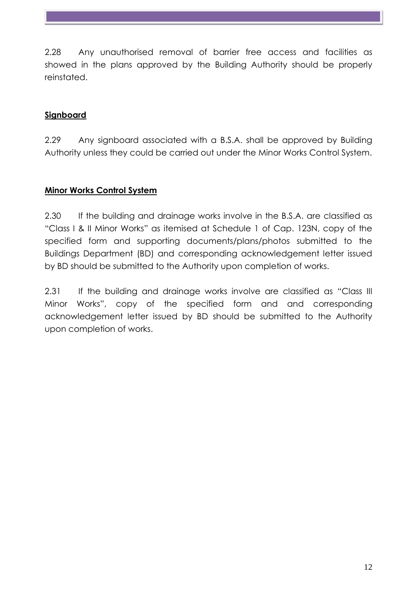2.28 Any unauthorised removal of barrier free access and facilities as showed in the plans approved by the Building Authority should be properly reinstated.

#### <span id="page-11-0"></span>**Signboard**

2.29 Any signboard associated with a B.S.A. shall be approved by Building Authority unless they could be carried out under the Minor Works Control System.

#### <span id="page-11-1"></span>**Minor Works Control System**

2.30 If the building and drainage works involve in the B.S.A. are classified as "Class I & II Minor Works" as itemised at Schedule 1 of Cap. 123N, copy of the specified form and supporting documents/plans/photos submitted to the Buildings Department (BD) and corresponding acknowledgement letter issued by BD should be submitted to the Authority upon completion of works.

2.31 If the building and drainage works involve are classified as "Class III Minor Works", copy of the specified form and and corresponding acknowledgement letter issued by BD should be submitted to the Authority upon completion of works.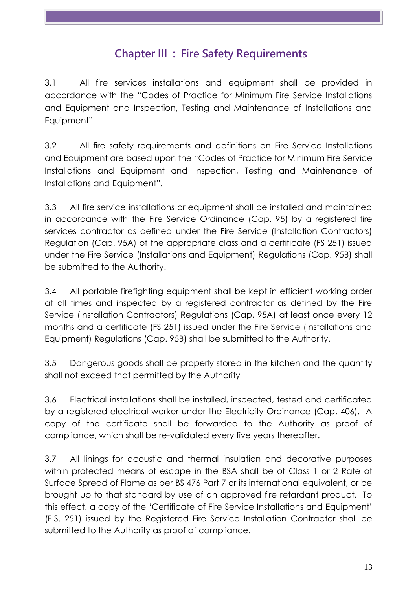## **Chapter III : Fire Safety Requirements**

<span id="page-12-0"></span>3.1 All fire services installations and equipment shall be provided in accordance with the "Codes of Practice for Minimum Fire Service Installations and Equipment and Inspection, Testing and Maintenance of Installations and Equipment"

3.2 All fire safety requirements and definitions on Fire Service Installations and Equipment are based upon the "Codes of Practice for Minimum Fire Service Installations and Equipment and Inspection, Testing and Maintenance of Installations and Equipment".

3.3 All fire service installations or equipment shall be installed and maintained in accordance with the Fire Service Ordinance (Cap. 95) by a registered fire services contractor as defined under the Fire Service (Installation Contractors) Regulation (Cap. 95A) of the appropriate class and a certificate (FS 251) issued under the Fire Service (Installations and Equipment) Regulations (Cap. 95B) shall be submitted to the Authority.

3.4 All portable firefighting equipment shall be kept in efficient working order at all times and inspected by a registered contractor as defined by the Fire Service (Installation Contractors) Regulations (Cap. 95A) at least once every 12 months and a certificate (FS 251) issued under the Fire Service (Installations and Equipment) Regulations (Cap. 95B) shall be submitted to the Authority.

3.5 Dangerous goods shall be properly stored in the kitchen and the quantity shall not exceed that permitted by the Authority

3.6 Electrical installations shall be installed, inspected, tested and certificated by a registered electrical worker under the Electricity Ordinance (Cap. 406). A copy of the certificate shall be forwarded to the Authority as proof of compliance, which shall be re-validated every five years thereafter.

3.7 All linings for acoustic and thermal insulation and decorative purposes within protected means of escape in the BSA shall be of Class 1 or 2 Rate of Surface Spread of Flame as per BS 476 Part 7 or its international equivalent, or be brought up to that standard by use of an approved fire retardant product. To this effect, a copy of the 'Certificate of Fire Service Installations and Equipment' (F.S. 251) issued by the Registered Fire Service Installation Contractor shall be submitted to the Authority as proof of compliance.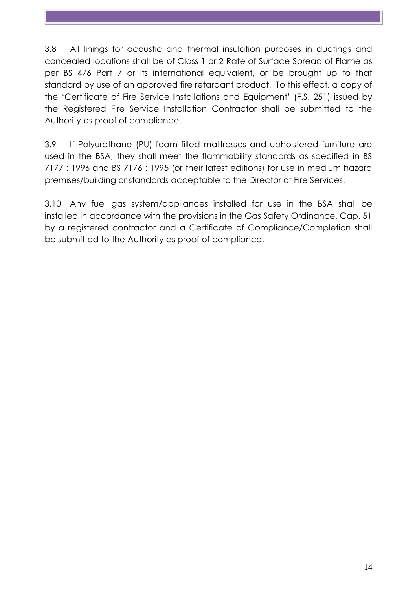3.8 All linings for acoustic and thermal insulation purposes in ductings and concealed locations shall be of Class 1 or 2 Rate of Surface Spread of Flame as per BS 476 Part 7 or its international equivalent, or be brought up to that standard by use of an approved fire retardant product. To this effect, a copy of the 'Certificate of Fire Service Installations and Equipment' (F.S. 251) issued by the Registered Fire Service Installation Contractor shall be submitted to the Authority as proof of compliance.

3.9 If Polyurethane (PU) foam filled mattresses and upholstered furniture are used in the BSA, they shall meet the flammability standards as specified in BS 7177 : 1996 and BS 7176 : 1995 (or their latest editions) for use in medium hazard premises/building or standards acceptable to the Director of Fire Services.

3.10 Any fuel gas system/appliances installed for use in the BSA shall be installed in accordance with the provisions in the Gas Safety Ordinance, Cap. 51 by a registered contractor and a Certificate of Compliance/Completion shall be submitted to the Authority as proof of compliance.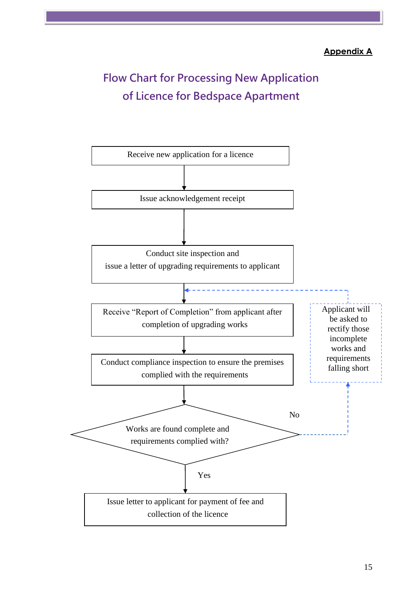#### **Appendix A**

## <span id="page-14-0"></span>**Flow Chart for Processing New Application of Licence for Bedspace Apartment**

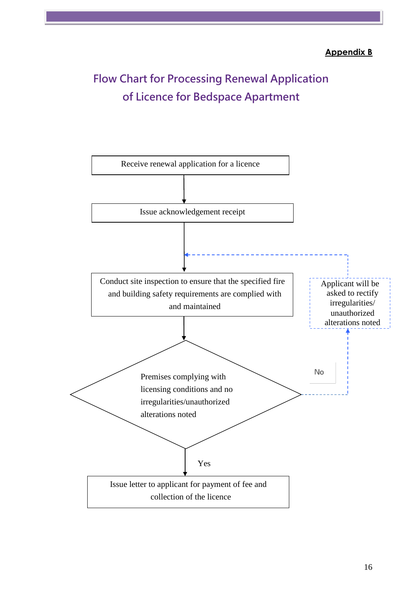## <span id="page-15-0"></span>**Flow Chart for Processing Renewal Application of Licence for Bedspace Apartment**

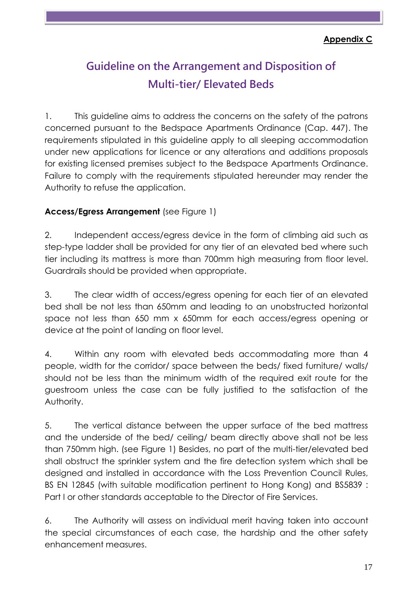#### **Appendix C**

## <span id="page-16-0"></span>**Guideline on the Arrangement and Disposition of Multi-tier/ Elevated Beds**

1. This guideline aims to address the concerns on the safety of the patrons concerned pursuant to the Bedspace Apartments Ordinance (Cap. 447). The requirements stipulated in this guideline apply to all sleeping accommodation under new applications for licence or any alterations and additions proposals for existing licensed premises subject to the Bedspace Apartments Ordinance. Failure to comply with the requirements stipulated hereunder may render the Authority to refuse the application.

#### **Access/Egress Arrangement** (see Figure 1)

2. Independent access/egress device in the form of climbing aid such as step-type ladder shall be provided for any tier of an elevated bed where such tier including its mattress is more than 700mm high measuring from floor level. Guardrails should be provided when appropriate.

3. The clear width of access/egress opening for each tier of an elevated bed shall be not less than 650mm and leading to an unobstructed horizontal space not less than 650 mm x 650mm for each access/egress opening or device at the point of landing on floor level.

4. Within any room with elevated beds accommodating more than 4 people, width for the corridor/ space between the beds/ fixed furniture/ walls/ should not be less than the minimum width of the required exit route for the guestroom unless the case can be fully justified to the satisfaction of the Authority.

5. The vertical distance between the upper surface of the bed mattress and the underside of the bed/ ceiling/ beam directly above shall not be less than 750mm high. (see Figure 1) Besides, no part of the multi-tier/elevated bed shall obstruct the sprinkler system and the fire detection system which shall be designed and installed in accordance with the Loss Prevention Council Rules, BS EN 12845 (with suitable modification pertinent to Hong Kong) and BS5839 : Part I or other standards acceptable to the Director of Fire Services.

6. The Authority will assess on individual merit having taken into account the special circumstances of each case, the hardship and the other safety enhancement measures.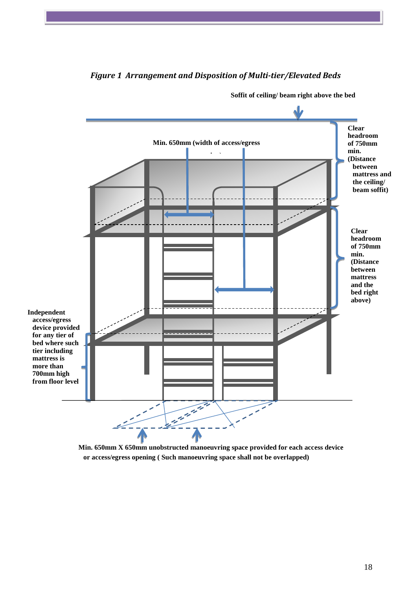

#### *Figure 1 Arrangement and Disposition of Multi-tier/Elevated Beds*

**Soffit of ceiling/ beam right above the bed**

**Min. 650mm X 650mm unobstructed manoeuvring space provided for each access device or access/egress opening ( Such manoeuvring space shall not be overlapped)**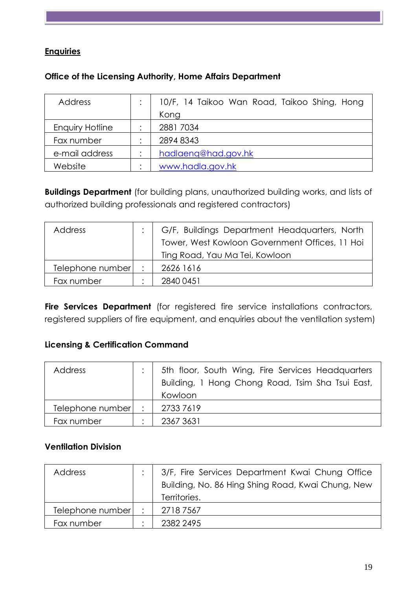#### <span id="page-18-0"></span>**Enquiries**

#### **Office of the Licensing Authority, Home Affairs Department**

| <b>Address</b>         | ٠ | 10/F, 14 Taikoo Wan Road, Taikoo Shing, Hong |
|------------------------|---|----------------------------------------------|
|                        |   | Kong                                         |
| <b>Enquiry Hotline</b> | ٠ | 2881 7034                                    |
| Fax number             | ٠ | 28948343                                     |
| e-mail address         |   | hadlaeng@had.gov.hk                          |
| Website                |   | www.hadla.gov.hk                             |

**Buildings Department** (for building plans, unauthorized building works, and lists of authorized building professionals and registered contractors)

| <b>Address</b>   | G/F, Buildings Department Headquarters, North  |
|------------------|------------------------------------------------|
|                  | Tower, West Kowloon Government Offices, 11 Hoi |
|                  | Ting Road, Yau Ma Tei, Kowloon                 |
| Telephone number | 2626 1616                                      |
| Fax number       | 2840 0451                                      |

Fire Services Department (for registered fire service installations contractors, registered suppliers of fire equipment, and enquiries about the ventilation system)

#### **Licensing & Certification Command**

| <b>Address</b>   | 5th floor, South Wing, Fire Services Headquarters<br>Building, 1 Hong Chong Road, Tsim Sha Tsui East,<br>Kowloon |
|------------------|------------------------------------------------------------------------------------------------------------------|
| Telephone number | 27337619                                                                                                         |
| Fax number       | 2367 3631                                                                                                        |

#### **Ventilation Division**

| <b>Address</b>   |           | 3/F, Fire Services Department Kwai Chung Office<br>Building, No. 86 Hing Shing Road, Kwai Chung, New<br>Territories. |
|------------------|-----------|----------------------------------------------------------------------------------------------------------------------|
| Telephone number | $\bullet$ | 27187567                                                                                                             |
| Fax number       |           | 2382 2495                                                                                                            |